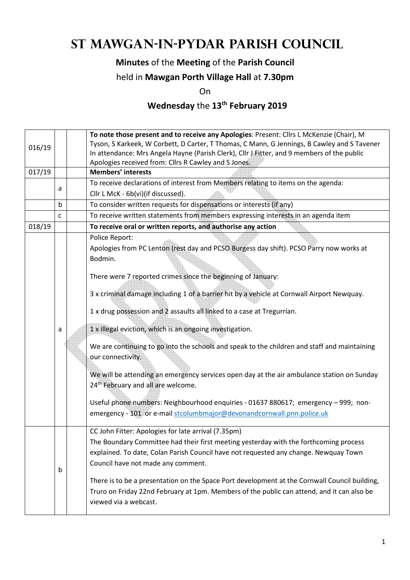# **St Mawgan-in-Pydar Parish Council**

#### **Minutes** of the **Meeting** of the **Parish Council**

#### held in **Mawgan Porth Village Hall** at **7.30pm**

On

## **Wednesday** the **13th February 2019**

|        |              | To note those present and to receive any Apologies: Present: Cllrs L McKenzie (Chair), M |                                                                                               |  |  |  |
|--------|--------------|------------------------------------------------------------------------------------------|-----------------------------------------------------------------------------------------------|--|--|--|
| 016/19 |              |                                                                                          | Tyson, S Karkeek, W Corbett, D Carter, T Thomas, C Mann, G Jennings, B Cawley and S Tavener   |  |  |  |
|        |              |                                                                                          | In attendance: Mrs Angela Hayne (Parish Clerk), Cllr J Fitter, and 9 members of the public    |  |  |  |
|        |              |                                                                                          | Apologies received from: Cllrs R Cawley and S Jones.                                          |  |  |  |
| 017/19 |              |                                                                                          | <b>Members' interests</b>                                                                     |  |  |  |
|        | a            |                                                                                          | To receive declarations of interest from Members relating to items on the agenda:             |  |  |  |
|        |              |                                                                                          | Cllr L McK - 6b(vi)(if discussed).                                                            |  |  |  |
|        | b            |                                                                                          | To consider written requests for dispensations or interests (if any)                          |  |  |  |
|        | $\mathsf{C}$ |                                                                                          | To receive written statements from members expressing interests in an agenda item             |  |  |  |
| 018/19 |              |                                                                                          | To receive oral or written reports, and authorise any action                                  |  |  |  |
|        |              |                                                                                          | Police Report:                                                                                |  |  |  |
|        |              |                                                                                          | Apologies from PC Lenton (rest day and PCSO Burgess day shift). PCSO Parry now works at       |  |  |  |
|        |              |                                                                                          | Bodmin.                                                                                       |  |  |  |
|        |              |                                                                                          |                                                                                               |  |  |  |
|        |              |                                                                                          | There were 7 reported crimes since the beginning of January:                                  |  |  |  |
|        |              |                                                                                          | 3 x criminal damage including 1 of a barrier hit by a vehicle at Cornwall Airport Newquay.    |  |  |  |
|        |              |                                                                                          |                                                                                               |  |  |  |
|        |              |                                                                                          | 1 x drug possession and 2 assaults all linked to a case at Tregurrian.                        |  |  |  |
|        | a            |                                                                                          | 1 x illegal eviction, which is an ongoing investigation.                                      |  |  |  |
|        |              |                                                                                          | We are continuing to go into the schools and speak to the children and staff and maintaining  |  |  |  |
|        |              |                                                                                          | our connectivity.                                                                             |  |  |  |
|        |              |                                                                                          | We will be attending an emergency services open day at the air ambulance station on Sunday    |  |  |  |
|        |              |                                                                                          | 24 <sup>th</sup> February and all are welcome.                                                |  |  |  |
|        |              |                                                                                          |                                                                                               |  |  |  |
|        |              |                                                                                          | Useful phone numbers: Neighbourhood enquiries - 01637 880617; emergency - 999; non-           |  |  |  |
|        |              |                                                                                          | emergency - 101 or e-mail stcolumbmajor@devonandcornwall.pnn.police.uk                        |  |  |  |
|        |              |                                                                                          | CC John Fitter: Apologies for late arrival (7.35pm)                                           |  |  |  |
|        |              |                                                                                          | The Boundary Committee had their first meeting yesterday with the forthcoming process         |  |  |  |
|        |              |                                                                                          |                                                                                               |  |  |  |
|        |              |                                                                                          | explained. To date, Colan Parish Council have not requested any change. Newquay Town          |  |  |  |
|        | b            |                                                                                          | Council have not made any comment.                                                            |  |  |  |
|        |              |                                                                                          | There is to be a presentation on the Space Port development at the Cornwall Council building, |  |  |  |
|        |              |                                                                                          | Truro on Friday 22nd February at 1pm. Members of the public can attend, and it can also be    |  |  |  |
|        |              |                                                                                          | viewed via a webcast.                                                                         |  |  |  |
|        |              |                                                                                          |                                                                                               |  |  |  |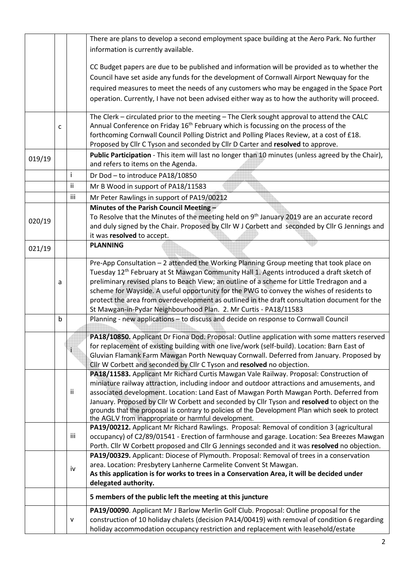|        |   |             | There are plans to develop a second employment space building at the Aero Park. No further             |
|--------|---|-------------|--------------------------------------------------------------------------------------------------------|
|        |   |             | information is currently available.                                                                    |
|        |   |             |                                                                                                        |
|        |   |             | CC Budget papers are due to be published and information will be provided as to whether the            |
|        |   |             | Council have set aside any funds for the development of Cornwall Airport Newquay for the               |
|        |   |             | required measures to meet the needs of any customers who may be engaged in the Space Port              |
|        |   |             | operation. Currently, I have not been advised either way as to how the authority will proceed.         |
|        |   |             |                                                                                                        |
|        |   |             | The Clerk - circulated prior to the meeting - The Clerk sought approval to attend the CALC             |
|        | C |             | Annual Conference on Friday 16 <sup>th</sup> February which is focussing on the process of the         |
|        |   |             | forthcoming Cornwall Council Polling District and Polling Places Review, at a cost of £18.             |
|        |   |             | Proposed by Cllr C Tyson and seconded by Cllr D Carter and resolved to approve.                        |
|        |   |             | Public Participation - This item will last no longer than 10 minutes (unless agreed by the Chair),     |
| 019/19 |   |             | and refers to items on the Agenda.                                                                     |
|        |   | i.          | Dr Dod - to introduce PA18/10850                                                                       |
|        |   | ii.         | Mr B Wood in support of PA18/11583                                                                     |
|        |   |             |                                                                                                        |
|        |   | iii         | Mr Peter Rawlings in support of PA19/00212                                                             |
|        |   |             | Minutes of the Parish Council Meeting -                                                                |
| 020/19 |   |             | To Resolve that the Minutes of the meeting held on 9 <sup>th</sup> January 2019 are an accurate record |
|        |   |             | and duly signed by the Chair. Proposed by Cllr W J Corbett and seconded by Cllr G Jennings and         |
|        |   |             | it was resolved to accept.                                                                             |
| 021/19 |   |             | <b>PLANNING</b>                                                                                        |
|        |   |             | Pre-App Consultation - 2 attended the Working Planning Group meeting that took place on                |
|        |   |             | Tuesday 12 <sup>th</sup> February at St Mawgan Community Hall 1. Agents introduced a draft sketch of   |
|        | а |             | preliminary revised plans to Beach View; an outline of a scheme for Little Tredragon and a             |
|        |   |             | scheme for Wayside. A useful opportunity for the PWG to convey the wishes of residents to              |
|        |   |             | protect the area from overdevelopment as outlined in the draft consultation document for the           |
|        |   |             | St Mawgan-in-Pydar Neighbourhood Plan. 2. Mr Curtis - PA18/11583                                       |
|        | b |             | Planning - new applications - to discuss and decide on response to Cornwall Council                    |
|        |   |             |                                                                                                        |
|        |   |             | PA18/10850. Applicant Dr Fiona Dod. Proposal: Outline application with some matters reserved           |
|        |   | $\mathbf i$ | for replacement of existing building with one live/work (self-build). Location: Barn East of           |
|        |   |             | Gluvian Flamank Farm Mawgan Porth Newquay Cornwall. Deferred from January. Proposed by                 |
|        |   |             | Cllr W Corbett and seconded by Cllr C Tyson and resolved no objection.                                 |
|        |   |             | PA18/11583. Applicant Mr Richard Curtis Mawgan Vale Railway. Proposal: Construction of                 |
|        |   |             | miniature railway attraction, including indoor and outdoor attractions and amusements, and             |
|        |   | ii.         | associated development. Location: Land East of Mawgan Porth Mawgan Porth. Deferred from                |
|        |   |             | January. Proposed by Cllr W Corbett and seconded by Cllr Tyson and resolved to object on the           |
|        |   |             | grounds that the proposal is contrary to policies of the Development Plan which seek to protect        |
|        |   |             | the AGLV from inappropriate or harmful development.                                                    |
|        |   |             | PA19/00212. Applicant Mr Richard Rawlings. Proposal: Removal of condition 3 (agricultural              |
|        |   | iii         | occupancy) of C2/89/01541 - Erection of farmhouse and garage. Location: Sea Breezes Mawgan             |
|        |   |             | Porth. Cllr W Corbett proposed and Cllr G Jennings seconded and it was resolved no objection.          |
|        |   |             | PA19/00329. Applicant: Diocese of Plymouth. Proposal: Removal of trees in a conservation               |
|        |   | iv          | area. Location: Presbytery Lanherne Carmelite Convent St Mawgan.                                       |
|        |   |             | As this application is for works to trees in a Conservation Area, it will be decided under             |
|        |   |             | delegated authority.                                                                                   |
|        |   |             | 5 members of the public left the meeting at this juncture                                              |
|        |   |             | PA19/00090. Applicant Mr J Barlow Merlin Golf Club. Proposal: Outline proposal for the                 |
|        |   | ۷           | construction of 10 holiday chalets (decision PA14/00419) with removal of condition 6 regarding         |
|        |   |             | holiday accommodation occupancy restriction and replacement with leasehold/estate                      |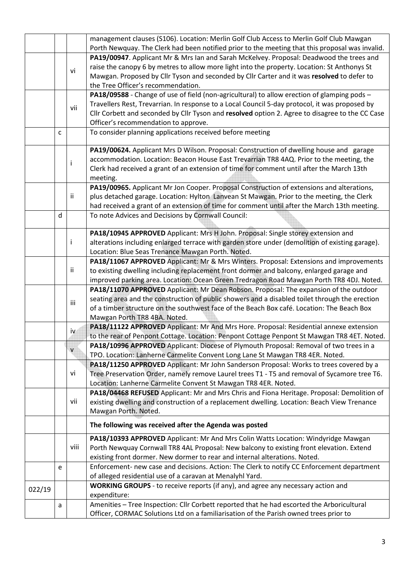|        |                                                                                          |              | management clauses (S106). Location: Merlin Golf Club Access to Merlin Golf Club Mawgan<br>Porth Newquay. The Clerk had been notified prior to the meeting that this proposal was invalid.                                                                                                                                  |  |  |  |  |
|--------|------------------------------------------------------------------------------------------|--------------|-----------------------------------------------------------------------------------------------------------------------------------------------------------------------------------------------------------------------------------------------------------------------------------------------------------------------------|--|--|--|--|
|        |                                                                                          | vi           | PA19/00947. Applicant Mr & Mrs Ian and Sarah McKelvey. Proposal: Deadwood the trees and<br>raise the canopy 6 by metres to allow more light into the property. Location: St Anthonys St<br>Mawgan. Proposed by Cllr Tyson and seconded by Cllr Carter and it was resolved to defer to<br>the Tree Officer's recommendation. |  |  |  |  |
|        |                                                                                          |              | PA18/09588 - Change of use of field (non-agricultural) to allow erection of glamping pods -                                                                                                                                                                                                                                 |  |  |  |  |
|        |                                                                                          | vii          | Travellers Rest, Trevarrian. In response to a Local Council 5-day protocol, it was proposed by                                                                                                                                                                                                                              |  |  |  |  |
|        |                                                                                          |              | Cllr Corbett and seconded by Cllr Tyson and resolved option 2. Agree to disagree to the CC Case                                                                                                                                                                                                                             |  |  |  |  |
|        |                                                                                          |              | Officer's recommendation to approve.                                                                                                                                                                                                                                                                                        |  |  |  |  |
|        | C                                                                                        |              | To consider planning applications received before meeting                                                                                                                                                                                                                                                                   |  |  |  |  |
|        |                                                                                          |              | PA19/00624. Applicant Mrs D Wilson. Proposal: Construction of dwelling house and garage                                                                                                                                                                                                                                     |  |  |  |  |
|        | accommodation. Location: Beacon House East Trevarrian TR8 4AQ. Prior to the meeting, the |              |                                                                                                                                                                                                                                                                                                                             |  |  |  |  |
|        |                                                                                          |              | Clerk had received a grant of an extension of time for comment until after the March 13th<br>meeting.                                                                                                                                                                                                                       |  |  |  |  |
|        |                                                                                          |              | PA19/00965. Applicant Mr Jon Cooper. Proposal Construction of extensions and alterations,                                                                                                                                                                                                                                   |  |  |  |  |
|        |                                                                                          | ii.          | plus detached garage. Location: Hylton Lanvean St Mawgan. Prior to the meeting, the Clerk<br>had received a grant of an extension of time for comment until after the March 13th meeting.                                                                                                                                   |  |  |  |  |
|        | d                                                                                        |              | To note Advices and Decisions by Cornwall Council:                                                                                                                                                                                                                                                                          |  |  |  |  |
|        |                                                                                          |              |                                                                                                                                                                                                                                                                                                                             |  |  |  |  |
|        |                                                                                          |              | PA18/10945 APPROVED Applicant: Mrs H John. Proposal: Single storey extension and                                                                                                                                                                                                                                            |  |  |  |  |
|        |                                                                                          | j            | alterations including enlarged terrace with garden store under (demolition of existing garage).                                                                                                                                                                                                                             |  |  |  |  |
|        | Location: Blue Seas Trenance Mawgan Porth. Noted.                                        |              |                                                                                                                                                                                                                                                                                                                             |  |  |  |  |
|        |                                                                                          |              | PA18/11067 APPROVED Applicant: Mr & Mrs Winters. Proposal: Extensions and improvements                                                                                                                                                                                                                                      |  |  |  |  |
|        |                                                                                          | ii.          | to existing dwelling including replacement front dormer and balcony, enlarged garage and                                                                                                                                                                                                                                    |  |  |  |  |
|        | improved parking area. Location: Ocean Green Tredragon Road Mawgan Porth TR8 4DJ. Noted. |              |                                                                                                                                                                                                                                                                                                                             |  |  |  |  |
|        |                                                                                          |              | PA18/11070 APPROVED Applicant: Mr Dean Robson. Proposal: The expansion of the outdoor                                                                                                                                                                                                                                       |  |  |  |  |
|        |                                                                                          | iii          | seating area and the construction of public showers and a disabled toilet through the erection                                                                                                                                                                                                                              |  |  |  |  |
|        |                                                                                          |              | of a timber structure on the southwest face of the Beach Box café. Location: The Beach Box                                                                                                                                                                                                                                  |  |  |  |  |
|        |                                                                                          |              | Mawgan Porth TR8 4BA. Noted.                                                                                                                                                                                                                                                                                                |  |  |  |  |
|        |                                                                                          | iv           | PA18/11122 APPROVED Applicant: Mr And Mrs Hore. Proposal: Residential annexe extension                                                                                                                                                                                                                                      |  |  |  |  |
|        |                                                                                          |              | to the rear of Penpont Cottage. Location: Penpont Cottage Penpont St Mawgan TR8 4ET. Noted.                                                                                                                                                                                                                                 |  |  |  |  |
|        |                                                                                          | $\mathsf{v}$ | PA18/10996 APPROVED Applicant: Diocese of Plymouth Proposal: Removal of two trees in a                                                                                                                                                                                                                                      |  |  |  |  |
|        |                                                                                          |              | TPO. Location: Lanherne Carmelite Convent Long Lane St Mawgan TR8 4ER. Noted.                                                                                                                                                                                                                                               |  |  |  |  |
|        |                                                                                          |              | PA18/11250 APPROVED Applicant: Mr John Sanderson Proposal: Works to trees covered by a                                                                                                                                                                                                                                      |  |  |  |  |
|        |                                                                                          | vi           | Tree Preservation Order, namely remove Laurel trees T1 - T5 and removal of Sycamore tree T6.                                                                                                                                                                                                                                |  |  |  |  |
|        |                                                                                          |              | Location: Lanherne Carmelite Convent St Mawgan TR8 4ER. Noted.                                                                                                                                                                                                                                                              |  |  |  |  |
|        |                                                                                          |              | PA18/04468 REFUSED Applicant: Mr and Mrs Chris and Fiona Heritage. Proposal: Demolition of                                                                                                                                                                                                                                  |  |  |  |  |
|        |                                                                                          | vii          | existing dwelling and construction of a replacement dwelling. Location: Beach View Trenance                                                                                                                                                                                                                                 |  |  |  |  |
|        |                                                                                          |              | Mawgan Porth. Noted.                                                                                                                                                                                                                                                                                                        |  |  |  |  |
|        |                                                                                          |              | The following was received after the Agenda was posted                                                                                                                                                                                                                                                                      |  |  |  |  |
|        |                                                                                          |              | PA18/10393 APPROVED Applicant: Mr And Mrs Colin Watts Location: Windyridge Mawgan                                                                                                                                                                                                                                           |  |  |  |  |
|        |                                                                                          | viii         | Porth Newquay Cornwall TR8 4AL Proposal: New balcony to existing front elevation. Extend                                                                                                                                                                                                                                    |  |  |  |  |
|        |                                                                                          |              | existing front dormer. New dormer to rear and internal alterations. Noted.                                                                                                                                                                                                                                                  |  |  |  |  |
|        | e                                                                                        |              | Enforcement- new case and decisions. Action: The Clerk to notify CC Enforcement department                                                                                                                                                                                                                                  |  |  |  |  |
|        |                                                                                          |              | of alleged residential use of a caravan at Menalyhl Yard.                                                                                                                                                                                                                                                                   |  |  |  |  |
|        |                                                                                          |              | WORKING GROUPS - to receive reports (if any), and agree any necessary action and                                                                                                                                                                                                                                            |  |  |  |  |
| 022/19 |                                                                                          |              | expenditure:                                                                                                                                                                                                                                                                                                                |  |  |  |  |
|        | a                                                                                        |              | Amenities - Tree Inspection: Cllr Corbett reported that he had escorted the Arboricultural                                                                                                                                                                                                                                  |  |  |  |  |
|        |                                                                                          |              | Officer, CORMAC Solutions Ltd on a familiarisation of the Parish owned trees prior to                                                                                                                                                                                                                                       |  |  |  |  |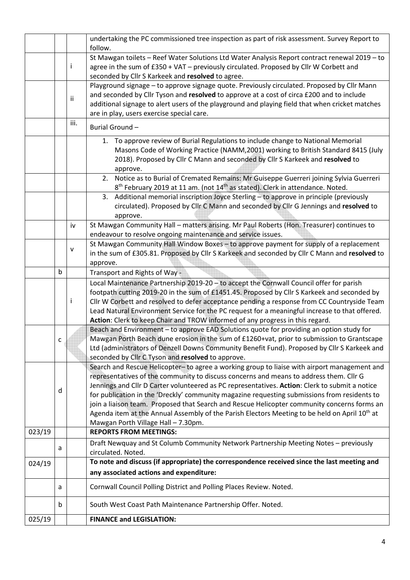|                                    |   |      | undertaking the PC commissioned tree inspection as part of risk assessment. Survey Report to<br>follow.                                                                                                                                                                                                                                                                                                                                                                                                                                                                                                                                     |  |
|------------------------------------|---|------|---------------------------------------------------------------------------------------------------------------------------------------------------------------------------------------------------------------------------------------------------------------------------------------------------------------------------------------------------------------------------------------------------------------------------------------------------------------------------------------------------------------------------------------------------------------------------------------------------------------------------------------------|--|
|                                    |   | T    | St Mawgan toilets - Reef Water Solutions Ltd Water Analysis Report contract renewal 2019 - to<br>agree in the sum of £350 + VAT - previously circulated. Proposed by Cllr W Corbett and<br>seconded by Cllr S Karkeek and resolved to agree.                                                                                                                                                                                                                                                                                                                                                                                                |  |
|                                    |   | ii   | Playground signage - to approve signage quote. Previously circulated. Proposed by Cllr Mann<br>and seconded by Cllr Tyson and resolved to approve at a cost of circa £200 and to include<br>additional signage to alert users of the playground and playing field that when cricket matches<br>are in play, users exercise special care.                                                                                                                                                                                                                                                                                                    |  |
|                                    |   | iii. | Burial Ground-                                                                                                                                                                                                                                                                                                                                                                                                                                                                                                                                                                                                                              |  |
|                                    |   |      | 1. To approve review of Burial Regulations to include change to National Memorial<br>Masons Code of Working Practice (NAMM, 2001) working to British Standard 8415 (July<br>2018). Proposed by Cllr C Mann and seconded by Cllr S Karkeek and resolved to<br>approve.                                                                                                                                                                                                                                                                                                                                                                       |  |
|                                    |   |      | Notice as to Burial of Cremated Remains: Mr Guiseppe Guerreri joining Sylvia Guerreri<br>2.<br>8 <sup>th</sup> February 2019 at 11 am. (not 14 <sup>th</sup> as stated). Clerk in attendance. Noted.                                                                                                                                                                                                                                                                                                                                                                                                                                        |  |
|                                    |   |      | 3. Additional memorial inscription Joyce Sterling - to approve in principle (previously<br>circulated). Proposed by Cllr C Mann and seconded by Cllr G Jennings and resolved to<br>approve.                                                                                                                                                                                                                                                                                                                                                                                                                                                 |  |
|                                    |   | iv   | St Mawgan Community Hall - matters arising. Mr Paul Roberts (Hon. Treasurer) continues to<br>endeavour to resolve ongoing maintenance and service issues.                                                                                                                                                                                                                                                                                                                                                                                                                                                                                   |  |
|                                    |   | v    | St Mawgan Community Hall Window Boxes - to approve payment for supply of a replacement<br>in the sum of £305.81. Proposed by Cllr S Karkeek and seconded by Cllr C Mann and resolved to<br>approve.                                                                                                                                                                                                                                                                                                                                                                                                                                         |  |
| b<br>Transport and Rights of Way - |   |      |                                                                                                                                                                                                                                                                                                                                                                                                                                                                                                                                                                                                                                             |  |
|                                    |   | Ť    | Local Maintenance Partnership 2019-20 - to accept the Cornwall Council offer for parish<br>footpath cutting 2019-20 in the sum of £1451.45. Proposed by Cllr S Karkeek and seconded by<br>Cllr W Corbett and resolved to defer acceptance pending a response from CC Countryside Team<br>Lead Natural Environment Service for the PC request for a meaningful increase to that offered.<br>Action: Clerk to keep Chair and TROW informed of any progress in this regard.                                                                                                                                                                    |  |
|                                    | C |      | Beach and Environment - to approve EAD Solutions quote for providing an option study for<br>Mawgan Porth Beach dune erosion in the sum of £1260+vat, prior to submission to Grantscape<br>Ltd (administrators of Denzell Downs Community Benefit Fund). Proposed by Cllr S Karkeek and<br>seconded by Cllr C Tyson and resolved to approve.                                                                                                                                                                                                                                                                                                 |  |
|                                    | d |      | Search and Rescue Helicopter- to agree a working group to liaise with airport management and<br>representatives of the community to discuss concerns and means to address them. Cllr G<br>Jennings and Cllr D Carter volunteered as PC representatives. Action: Clerk to submit a notice<br>for publication in the 'Dreckly' community magazine requesting submissions from residents to<br>join a liaison team. Proposed that Search and Rescue Helicopter community concerns forms an<br>Agenda item at the Annual Assembly of the Parish Electors Meeting to be held on April 10 <sup>th</sup> at<br>Mawgan Porth Village Hall - 7.30pm. |  |
| 023/19                             |   |      | <b>REPORTS FROM MEETINGS:</b>                                                                                                                                                                                                                                                                                                                                                                                                                                                                                                                                                                                                               |  |
|                                    | a |      | Draft Newquay and St Columb Community Network Partnership Meeting Notes - previously<br>circulated. Noted.                                                                                                                                                                                                                                                                                                                                                                                                                                                                                                                                  |  |
| 024/19                             |   |      | To note and discuss (if appropriate) the correspondence received since the last meeting and<br>any associated actions and expenditure:                                                                                                                                                                                                                                                                                                                                                                                                                                                                                                      |  |
|                                    | a |      | Cornwall Council Polling District and Polling Places Review. Noted.                                                                                                                                                                                                                                                                                                                                                                                                                                                                                                                                                                         |  |
|                                    | b |      | South West Coast Path Maintenance Partnership Offer. Noted.                                                                                                                                                                                                                                                                                                                                                                                                                                                                                                                                                                                 |  |
| 025/19                             |   |      | <b>FINANCE and LEGISLATION:</b>                                                                                                                                                                                                                                                                                                                                                                                                                                                                                                                                                                                                             |  |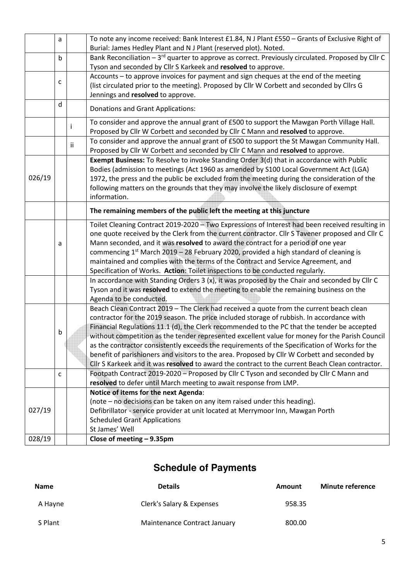|        | a |                                                                                   | To note any income received: Bank Interest £1.84, N J Plant £550 - Grants of Exclusive Right of<br>Burial: James Hedley Plant and N J Plant (reserved plot). Noted.            |  |  |  |  |
|--------|---|-----------------------------------------------------------------------------------|--------------------------------------------------------------------------------------------------------------------------------------------------------------------------------|--|--|--|--|
|        | b |                                                                                   | Bank Reconciliation - 3rd quarter to approve as correct. Previously circulated. Proposed by Cllr C                                                                             |  |  |  |  |
|        |   |                                                                                   | Tyson and seconded by Cllr S Karkeek and resolved to approve.                                                                                                                  |  |  |  |  |
|        |   |                                                                                   | Accounts - to approve invoices for payment and sign cheques at the end of the meeting                                                                                          |  |  |  |  |
|        | c |                                                                                   | (list circulated prior to the meeting). Proposed by Cllr W Corbett and seconded by Cllrs G                                                                                     |  |  |  |  |
|        |   |                                                                                   | Jennings and resolved to approve.                                                                                                                                              |  |  |  |  |
|        | d |                                                                                   | <b>Donations and Grant Applications:</b>                                                                                                                                       |  |  |  |  |
|        |   |                                                                                   | To consider and approve the annual grant of £500 to support the Mawgan Porth Village Hall.                                                                                     |  |  |  |  |
|        |   | $\mathbf{I}$                                                                      | Proposed by Cllr W Corbett and seconded by Cllr C Mann and resolved to approve.                                                                                                |  |  |  |  |
|        |   |                                                                                   | To consider and approve the annual grant of £500 to support the St Mawgan Community Hall.                                                                                      |  |  |  |  |
|        |   | ii                                                                                | Proposed by Cllr W Corbett and seconded by Cllr C Mann and resolved to approve.                                                                                                |  |  |  |  |
|        |   |                                                                                   | Exempt Business: To Resolve to invoke Standing Order 3(d) that in accordance with Public                                                                                       |  |  |  |  |
|        |   |                                                                                   | Bodies (admission to meetings (Act 1960 as amended by S100 Local Government Act (LGA)                                                                                          |  |  |  |  |
| 026/19 |   |                                                                                   | 1972, the press and the public be excluded from the meeting during the consideration of the                                                                                    |  |  |  |  |
|        |   |                                                                                   | following matters on the grounds that they may involve the likely disclosure of exempt                                                                                         |  |  |  |  |
|        |   |                                                                                   | information.                                                                                                                                                                   |  |  |  |  |
|        |   |                                                                                   | The remaining members of the public left the meeting at this juncture                                                                                                          |  |  |  |  |
|        |   |                                                                                   |                                                                                                                                                                                |  |  |  |  |
|        |   |                                                                                   | Toilet Cleaning Contract 2019-2020 - Two Expressions of Interest had been received resulting in                                                                                |  |  |  |  |
|        |   |                                                                                   | one quote received by the Clerk from the current contractor. Cllr S Tavener proposed and Cllr C                                                                                |  |  |  |  |
|        | a |                                                                                   | Mann seconded, and it was resolved to award the contract for a period of one year                                                                                              |  |  |  |  |
|        |   |                                                                                   | commencing $1^{st}$ March 2019 – 28 February 2020, provided a high standard of cleaning is                                                                                     |  |  |  |  |
|        |   | maintained and complies with the terms of the Contract and Service Agreement, and |                                                                                                                                                                                |  |  |  |  |
|        |   |                                                                                   | Specification of Works. Action: Toilet inspections to be conducted regularly.<br>In accordance with Standing Orders 3 (x), it was proposed by the Chair and seconded by Cllr C |  |  |  |  |
|        |   |                                                                                   |                                                                                                                                                                                |  |  |  |  |
|        |   |                                                                                   | Tyson and it was resolved to extend the meeting to enable the remaining business on the                                                                                        |  |  |  |  |
|        |   |                                                                                   | Agenda to be conducted.<br>Beach Clean Contract 2019 - The Clerk had received a quote from the current beach clean                                                             |  |  |  |  |
|        |   |                                                                                   | contractor for the 2019 season. The price included storage of rubbish. In accordance with                                                                                      |  |  |  |  |
|        |   |                                                                                   | Financial Regulations 11.1 (d), the Clerk recommended to the PC that the tender be accepted                                                                                    |  |  |  |  |
|        | b |                                                                                   | without competition as the tender represented excellent value for money for the Parish Council                                                                                 |  |  |  |  |
|        |   |                                                                                   | as the contractor consistently exceeds the requirements of the Specification of Works for the                                                                                  |  |  |  |  |
|        |   |                                                                                   | benefit of parishioners and visitors to the area. Proposed by Cllr W Corbett and seconded by                                                                                   |  |  |  |  |
|        |   |                                                                                   |                                                                                                                                                                                |  |  |  |  |
|        |   |                                                                                   |                                                                                                                                                                                |  |  |  |  |
|        |   |                                                                                   | Cllr S Karkeek and it was resolved to award the contract to the current Beach Clean contractor.                                                                                |  |  |  |  |
|        | c |                                                                                   | Footpath Contract 2019-2020 - Proposed by Cllr C Tyson and seconded by Cllr C Mann and                                                                                         |  |  |  |  |
|        |   |                                                                                   | resolved to defer until March meeting to await response from LMP.                                                                                                              |  |  |  |  |
|        |   |                                                                                   | Notice of items for the next Agenda:                                                                                                                                           |  |  |  |  |
|        |   |                                                                                   | (note - no decisions can be taken on any item raised under this heading).                                                                                                      |  |  |  |  |
| 027/19 |   |                                                                                   | Defibrillator - service provider at unit located at Merrymoor Inn, Mawgan Porth                                                                                                |  |  |  |  |
|        |   |                                                                                   | <b>Scheduled Grant Applications</b>                                                                                                                                            |  |  |  |  |
| 028/19 |   |                                                                                   | St James' Well<br>Close of meeting - 9.35pm                                                                                                                                    |  |  |  |  |

### **Schedule of Payments**

| <b>Name</b> | <b>Details</b>               | Amount | <b>Minute reference</b> |
|-------------|------------------------------|--------|-------------------------|
| A Hayne     | Clerk's Salary & Expenses    | 958.35 |                         |
| S Plant     | Maintenance Contract January | 800.00 |                         |